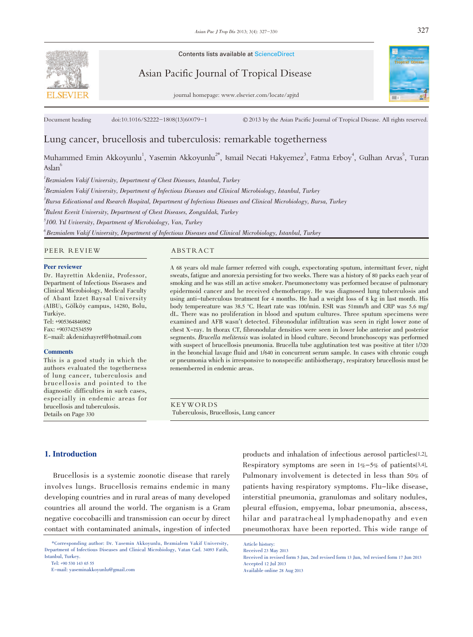Contents lists available at ScienceDirect

Asian Pacific Journal of Tropical Disease

journal homepage: www.elsevier.com/locate/apjtd



Document heading doi:10.1016/S2222-1808(13)60079-1 <sup>©</sup> 2013 by the Asian Pacific Journal of Tropical Disease. All rights reserved.

# Lung cancer, brucellosis and tuberculosis: remarkable togetherness

Muhammed Emin Akkoyunlu<sup>1</sup>, Yasemin Akkoyunlu<sup>2\*</sup>, Ismail Necati Hakyemez<sup>3</sup>, Fatma Erboy<sup>4</sup>, Gulhan Arvas<sup>5</sup>, Turan Asla $\mathrm{n}^{6}$ 

<sup>1</sup>Bezmialem Vakif University, Department of Chest Diseases, Istanbul, Turkey 2 Bezmialem Vakif University, Department of Infectious Diseases and Clinical Microbiology, Istanbul, Turkey 3 Bursa Edicational and Rsearch Hospital, Department of Infectious Diseases and Clinical Microbiology, Bursa, Turkey 4 Bulent Ecevit University, Department of Chest Diseases, Zonguldak, Turkey <sup>5</sup>100. Yıl Uviversity, Department of Microbiology, Van, Turkey  $^6$ Bezmialem Vakif University, Department of Infectious Diseases and Clinical Microbiology, Istanbul, Turkey

PEER REVIEW ABSTRACT

#### Peer reviewer

Dr. Hayrettin Akdeniiz, Professor, Department of Infectious Diseases and Clinical Microbiology, Medical Faculty of Abant İzzet Baysal University (AIBU), Gölköy campus, 14280, Bolu, Turkiye. Tel: +905364846962 Fax: +903742534559 E-mail: akdenizhayret@hotmail.com

#### **Comments**

This is a good study in which the authors evaluated the togetherness of lung cancer, tuberculosis and brucellosis and pointed to the diagnostic difficulties in such cases, especially in endemic areas for brucellosis and tuberculosis. Details on Page 330

A 68 years old male farmer referred with cough, expectorating sputum, intermittant fever, night sweats, fatigue and anorexia persisting for two weeks. There was a history of 80 packs each year of smoking and he was still an active smoker. Pneumonectomy was performed because of pulmonary epidermoid cancer and he received chemotherapy. He was diagnosed lung tuberculosis and using anti-tuberculous treatment for 4 months. He had a weight loss of 8 kg in last month. His body tempereature was 38.5 °C. Heart rate was 100/min. ESR was 51mm/h and CRP was 5.6 mg/ dL. There was no proliferation in blood and sputum cultures. Three sputum specimens were examined and AFB wasn't detected. Fibronodular infiltration was seen in right lower zone of chest X-ray. In thorax CT, fibronodular densities were seen in lower lobe anterior and posterior segments. Brucella melitensis was isolated in blood culture. Second bronchoscopy was performed with suspect of brucellosis pneumonia. Brucella tube agglutination test was positive at titer 1/320 in the bronchial lavage fluid and 1/640 in concurrent serum sample. In cases with chronic cough or pneumonia which is irresponsive to nonspecific antibiotherapy, respiratory brucellosis must be rememberred in endemic areas.

KEYWORDS Tuberculosis, Brucellosis, Lung cancer

#### 1. Introduction

 Brucellosis is a systemic zoonotic disease that rarely involves lungs. Brucellosis remains endemic in many developing countries and in rural areas of many developed countries all around the world. The organism is a Gram negative coccobacilli and transmission can occur by direct contact with contaminated animals, ingestion of infected

Tel: +90 530 143 65 55

E-mail: yaseminakkoyunlu@gmail.com

products and inhalation of infectious aerosol particles[1,2]. Respiratory symptoms are seen in 1%-5% of patients[3,4]. Pulmonary involvement is detected in less than 50% of patients having respiratory symptoms. Flu-like disease, interstitial pneumonia, granulomas and solitary nodules, pleural effusion, empyema, lobar pneumonia, abscess, hilar and paratracheal lymphadenopathy and even pneumothorax have been reported. This wide range of

 <sup>\*</sup>Corresponding author: Dr. Yasemin Akkoyunlu, Bezmialem Vakif University, Department of Infectious Diseases and Clinical Microbiology, Vatan Cad. 34093 Fatih, Istanbul, Turkey.

Article history: Received 23 May 2013

Received in revised form 5 Jun, 2nd revised form 13 Jun, 3rd revised form 17 Jun 2013 Accepted 12 Jul 2013 Available online 28 Aug 2013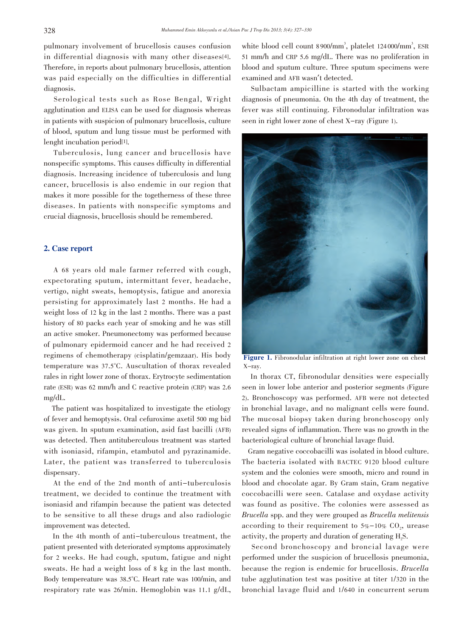pulmonary involvement of brucellosis causes confusion in differential diagnosis with many other diseases<sup>[4]</sup>. Therefore, in reports about pulmonary brucellosis, attention was paid especially on the difficulties in differential diagnosis.

 Serological tests such as Rose Bengal, Wright agglutination and ELISA can be used for diagnosis whereas in patients with suspicion of pulmonary brucellosis, culture of blood, sputum and lung tissue must be performed with lenght incubation period[1].

 Tuberculosis, lung cancer and brucellosis have nonspecific symptoms. This causes difficulty in differential diagnosis. Increasing incidence of tuberculosis and lung cancer, brucellosis is also endemic in our region that makes it more possible for the togetherness of these three diseases. In patients with nonspecific symptoms and crucial diagnosis, brucellosis should be remembered.

# 2. Case report

 A 68 years old male farmer referred with cough, expectorating sputum, intermittant fever, headache, vertigo, night sweats, hemoptysis, fatigue and anorexia persisting for approximately last 2 months. He had a weight loss of 12 kg in the last 2 months. There was a past history of 80 packs each year of smoking and he was still an active smoker. Pneumonectomy was performed because of pulmonary epidermoid cancer and he had received 2 regimens of chemotherapy (cisplatin/gemzaar). His body temperature was 37.5°C. Auscultation of thorax revealed rales in right lower zone of thorax. Erytrocyte sedimentation rate (ESR) was 62 mm/h and C reactive protein (CRP) was 2.6 mg/dL.

 The patient was hospitalized to investigate the etiology of fever and hemoptysis. Oral cefuroxime axetil 500 mg bid was given. In sputum examination, asid fast bacilli (AFB) was detected. Then antituberculous treatment was started with isoniasid, rifampin, etambutol and pyrazinamide. Later, the patient was transferred to tuberculosis dispensary.

 At the end of the 2nd month of anti-tuberculosis treatment, we decided to continue the treatment with isoniasid and rifampin because the patient was detected to be sensitive to all these drugs and also radiologic improvement was detected.

 In the 4th month of anti-tuberculous treatment, the patient presented with deteriorated symptoms approximately for 2 weeks. He had cough, sputum, fatigue and night sweats. He had a weight loss of 8 kg in the last month. Body tempereature was 38.5°C. Heart rate was 100/min, and respiratory rate was 26/min. Hemoglobin was 11.1 g/dL,

white blood cell count 8900/mm<sup>3</sup>, platelet 124000/mm<sup>3</sup>, ESR 51 mm/h and CRP 5.6 mg/dL. There was no proliferation in blood and sputum culture. Three sputum specimens were examined and AFB wasn't detected.

 Sulbactam ampicilline is started with the working diagnosis of pneumonia. On the 4th day of treatment, the fever was still continuing. Fibronodular infiltration was seen in right lower zone of chest X-ray (Figure 1).



Figure 1. Fibronodular infiltration at right lower zone on chest X-ray.

 In thorax CT, fibronodular densities were especially seen in lower lobe anterior and posterior segments (Figure 2). Bronchoscopy was performed. AFB were not detected in bronchial lavage, and no malignant cells were found. The mucosal biopsy taken during bronchoscopy only revealed signs of inflammation. There was no growth in the bacteriological culture of bronchial lavage fluid.

 Gram negative coccobacilli was isolated in blood culture. The bacteria isolated with BACTEC 9120 blood culture system and the colonies were smooth, micro and round in blood and chocolate agar. By Gram stain, Gram negative coccobacilli were seen. Catalase and oxydase activity was found as positive. The colonies were assessed as Brucella spp. and they were grouped as Brucella melitensis according to their requirement to  $5\%$ -10% CO<sub>2</sub>, urease activity, the property and duration of generating H<sub>2</sub>S.

 Second bronchoscopy and broncial lavage were performed under the suspicion of brucellosis pneumonia, because the region is endemic for brucellosis. Brucella tube agglutination test was positive at titer 1/320 in the bronchial lavage fluid and 1/640 in concurrent serum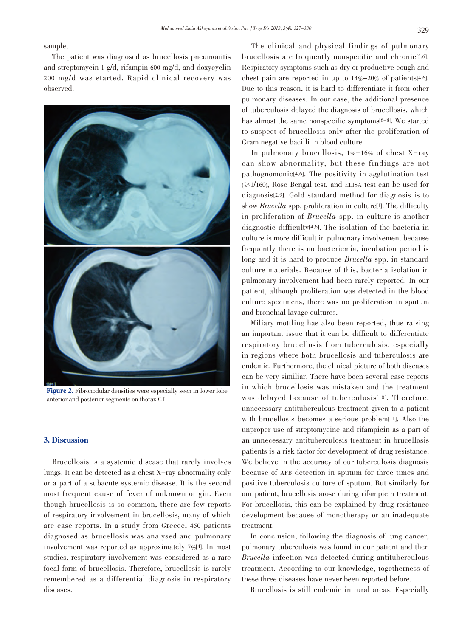sample.

 The patient was diagnosed as brucellosis pneumonitis and streptomycin 1 g/d, rifampin 600 mg/d, and doxycyclin 200 mg/d was started. Rapid clinical recovery was observed.



Figure 2. Fibronodular densities were especially seen in lower lobe anterior and posterior segments on thorax CT.

# 3. Discussion

 Brucellosis is a systemic disease that rarely involves lungs. It can be detected as a chest X-ray abnormality only or a part of a subacute systemic disease. It is the second most frequent cause of fever of unknown origin. Even though brucellosis is so common, there are few reports of respiratory involvement in brucellosis, many of which are case reports. In a study from Greece, 450 patients diagnosed as brucellosis was analysed and pulmonary involvement was reported as approximately 7%[4]. In most studies, respiratory involvement was considered as a rare focal form of brucellosis. Therefore, brucellosis is rarely remembered as a differential diagnosis in respiratory diseases.

 The clinical and physical findings of pulmonary brucellosis are frequently nonspecific and chronic<sup>[5,6]</sup>. Respiratory symptoms such as dry or productive cough and chest pain are reported in up to  $14\% - 20\%$  of patients[4,6]. Due to this reason, it is hard to differentiate it from other pulmonary diseases. In our case, the additional presence of tuberculosis delayed the diagnosis of brucellosis, which has almost the same nonspecific symptoms[6-8]. We started to suspect of brucellosis only after the proliferation of Gram negative bacilli in blood culture.

 In pulmonary brucellosis, 1%-16% of chest X-ray can show abnormality, but these findings are not pathognomonic[4,6]. The positivity in agglutination test  $(\geq 1/160)$ , Rose Bengal test, and ELISA test can be used for diagnosis[2,9]. Gold standard method for diagnosis is to show *Brucella* spp. proliferation in culture<sup>[1]</sup>. The difficulty in proliferation of Brucella spp. in culture is another diagnostic difficulty[4,6]. The isolation of the bacteria in culture is more difficult in pulmonary involvement because frequently there is no bacteriemia, incubation period is long and it is hard to produce *Brucella* spp. in standard culture materials. Because of this, bacteria isolation in pulmonary involvement had been rarely reported. In our patient, although proliferation was detected in the blood culture specimens, there was no proliferation in sputum and bronchial lavage cultures.

 Miliary mottling has also been reported, thus raising an important issue that it can be difficult to differentiate respiratory brucellosis from tuberculosis, especially in regions where both brucellosis and tuberculosis are endemic. Furthermore, the clinical picture of both diseases can be very similiar. There have been several case reports in which brucellosis was mistaken and the treatment was delayed because of tuberculosis[10]. Therefore, unnecessary antituberculous treatment given to a patient with brucellosis becomes a serious problem[11]. Also the unproper use of streptomycine and rifampicin as a part of an unnecessary antituberculosis treatment in brucellosis patients is a risk factor for development of drug resistance. We believe in the accuracy of our tuberculosis diagnosis because of AFB detection in sputum for three times and positive tuberculosis culture of sputum. But similarly for our patient, brucellosis arose during rifampicin treatment. For brucellosis, this can be explained by drug resistance development because of monotherapy or an inadequate treatment.

 In conclusion, following the diagnosis of lung cancer, pulmonary tuberculosis was found in our patient and then Brucella infection was detected during antituberculous treatment. According to our knowledge, togetherness of these three diseases have never been reported before.

Brucellosis is still endemic in rural areas. Especially